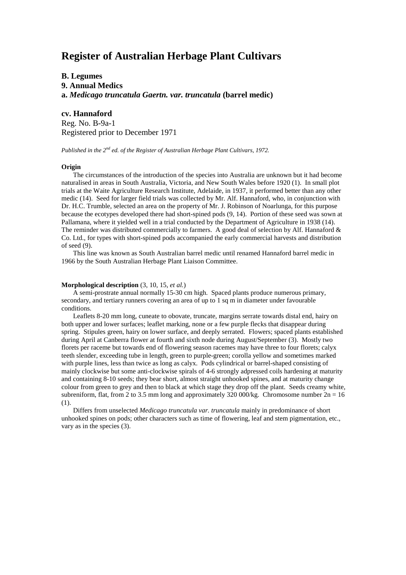# **Register of Australian Herbage Plant Cultivars**

# **B. Legumes**

**9. Annual Medics a.** *Medicago truncatula Gaertn. var. truncatula* **(barrel medic)**

# **cv. Hannaford**

Reg. No. B-9a-1 Registered prior to December 1971

*Published in the 2nd ed. of the Register of Australian Herbage Plant Cultivars, 1972.*

### **Origin**

The circumstances of the introduction of the species into Australia are unknown but it had become naturalised in areas in South Australia, Victoria, and New South Wales before 1920 (1). In small plot trials at the Waite Agriculture Research Institute, Adelaide, in 1937, it performed better than any other medic (14). Seed for larger field trials was collected by Mr. Alf. Hannaford, who, in conjunction with Dr. H.C. Trumble, selected an area on the property of Mr. J. Robinson of Noarlunga, for this purpose because the ecotypes developed there had short-spined pods (9, 14). Portion of these seed was sown at Pallamana, where it yielded well in a trial conducted by the Department of Agriculture in 1938 (14). The reminder was distributed commercially to farmers. A good deal of selection by Alf. Hannaford & Co. Ltd., for types with short-spined pods accompanied the early commercial harvests and distribution of seed (9).

This line was known as South Australian barrel medic until renamed Hannaford barrel medic in 1966 by the South Australian Herbage Plant Liaison Committee.

#### **Morphological description** (3, 10, 15, *et al.*)

A semi-prostrate annual normally 15-30 cm high. Spaced plants produce numerous primary, secondary, and tertiary runners covering an area of up to 1 sq m in diameter under favourable conditions.

Leaflets 8-20 mm long, cuneate to obovate, truncate, margins serrate towards distal end, hairy on both upper and lower surfaces; leaflet marking, none or a few purple flecks that disappear during spring. Stipules green, hairy on lower surface, and deeply serrated. Flowers; spaced plants established during April at Canberra flower at fourth and sixth node during August/September (3). Mostly two florets per raceme but towards end of flowering season racemes may have three to four florets; calyx teeth slender, exceeding tube in length, green to purple-green; corolla yellow and sometimes marked with purple lines, less than twice as long as calyx. Pods cylindrical or barrel-shaped consisting of mainly clockwise but some anti-clockwise spirals of 4-6 strongly adpressed coils hardening at maturity and containing 8-10 seeds; they bear short, almost straight unhooked spines, and at maturity change colour from green to grey and then to black at which stage they drop off the plant. Seeds creamy white, subreniform, flat, from 2 to 3.5 mm long and approximately 320 000/kg. Chromosome number  $2n = 16$ (1).

Differs from unselected *Medicago truncatula var. truncatula* mainly in predominance of short unhooked spines on pods; other characters such as time of flowering, leaf and stem pigmentation, etc., vary as in the species (3).